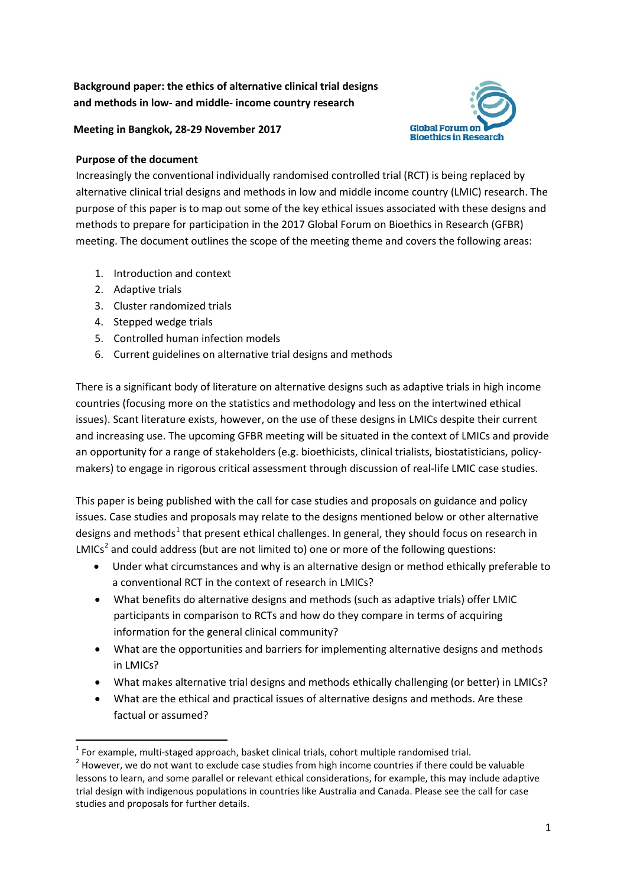## **Background paper: the ethics of alternative clinical trial designs and methods in low- and middle- income country research**

### **Meeting in Bangkok, 28-29 November 2017**

### **Purpose of the document**

Increasingly the conventional individually randomised controlled trial (RCT) is being replaced by alternative clinical trial designs and methods in low and middle income country (LMIC) research. The purpose of this paper is to map out some of the key ethical issues associated with these designs and methods to prepare for participation in the 2017 Global Forum on Bioethics in Research (GFBR) meeting. The document outlines the scope of the meeting theme and covers the following areas:

**Global Forum or Ringthics in Research** 

- 1. Introduction and context
- 2. Adaptive trials
- 3. Cluster randomized trials
- 4. Stepped wedge trials
- 5. Controlled human infection models
- 6. Current guidelines on alternative trial designs and methods

There is a significant body of literature on alternative designs such as adaptive trials in high income countries (focusing more on the statistics and methodology and less on the intertwined ethical issues). Scant literature exists, however, on the use of these designs in LMICs despite their current and increasing use. The upcoming GFBR meeting will be situated in the context of LMICs and provide an opportunity for a range of stakeholders (e.g. bioethicists, clinical trialists, biostatisticians, policymakers) to engage in rigorous critical assessment through discussion of real-life LMIC case studies.

This paper is being published with the call for case studies and proposals on guidance and policy issues. Case studies and proposals may relate to the designs mentioned below or other alternative designs and methods<sup>[1](#page-0-0)</sup> that present ethical challenges. In general, they should focus on research in  $LMICS<sup>2</sup>$  $LMICS<sup>2</sup>$  $LMICS<sup>2</sup>$  and could address (but are not limited to) one or more of the following questions:

- Under what circumstances and why is an alternative design or method ethically preferable to a conventional RCT in the context of research in LMICs?
- What benefits do alternative designs and methods (such as adaptive trials) offer LMIC participants in comparison to RCTs and how do they compare in terms of acquiring information for the general clinical community?
- What are the opportunities and barriers for implementing alternative designs and methods in LMICs?
- What makes alternative trial designs and methods ethically challenging (or better) in LMICs?
- What are the ethical and practical issues of alternative designs and methods. Are these factual or assumed?

<span id="page-0-1"></span><span id="page-0-0"></span><sup>&</sup>lt;sup>1</sup> For example, multi-staged approach, basket clinical trials, cohort multiple randomised trial.<br><sup>2</sup> However, we do not want to exclude case studies from high income countries if there could be valuable lessons to learn, and some parallel or relevant ethical considerations, for example, this may include adaptive trial design with indigenous populations in countries like Australia and Canada. Please see the call for case studies and proposals for further details.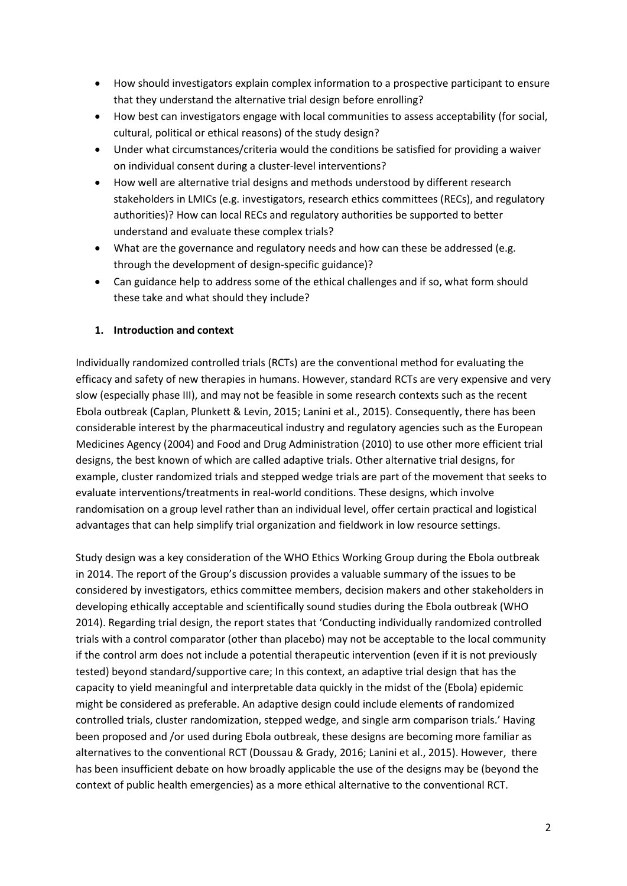- How should investigators explain complex information to a prospective participant to ensure that they understand the alternative trial design before enrolling?
- How best can investigators engage with local communities to assess acceptability (for social, cultural, political or ethical reasons) of the study design?
- Under what circumstances/criteria would the conditions be satisfied for providing a waiver on individual consent during a cluster-level interventions?
- How well are alternative trial designs and methods understood by different research stakeholders in LMICs (e.g. investigators, research ethics committees (RECs), and regulatory authorities)? How can local RECs and regulatory authorities be supported to better understand and evaluate these complex trials?
- What are the governance and regulatory needs and how can these be addressed (e.g. through the development of design-specific guidance)?
- Can guidance help to address some of the ethical challenges and if so, what form should these take and what should they include?

### **1. Introduction and context**

Individually randomized controlled trials (RCTs) are the conventional method for evaluating the efficacy and safety of new therapies in humans. However, standard RCTs are very expensive and very slow (especially phase III), and may not be feasible in some research contexts such as the recent Ebola outbreak (Caplan, Plunkett & Levin, 2015; Lanini et al., 2015). Consequently, there has been considerable interest by the pharmaceutical industry and regulatory agencies such as the European Medicines Agency (2004) and Food and Drug Administration (2010) to use other more efficient trial designs, the best known of which are called adaptive trials. Other alternative trial designs, for example, cluster randomized trials and stepped wedge trials are part of the movement that seeks to evaluate interventions/treatments in real-world conditions. These designs, which involve randomisation on a group level rather than an individual level, offer certain practical and logistical advantages that can help simplify trial organization and fieldwork in low resource settings.

Study design was a key consideration of the WHO Ethics Working Group during the Ebola outbreak in 2014. The report of the Group's discussion provides a valuable summary of the issues to be considered by investigators, ethics committee members, decision makers and other stakeholders in developing ethically acceptable and scientifically sound studies during the Ebola outbreak (WHO 2014). Regarding trial design, the report states that 'Conducting individually randomized controlled trials with a control comparator (other than placebo) may not be acceptable to the local community if the control arm does not include a potential therapeutic intervention (even if it is not previously tested) beyond standard/supportive care; In this context, an adaptive trial design that has the capacity to yield meaningful and interpretable data quickly in the midst of the (Ebola) epidemic might be considered as preferable. An adaptive design could include elements of randomized controlled trials, cluster randomization, stepped wedge, and single arm comparison trials.' Having been proposed and /or used during Ebola outbreak, these designs are becoming more familiar as alternatives to the conventional RCT (Doussau & Grady, 2016; Lanini et al., 2015). However, there has been insufficient debate on how broadly applicable the use of the designs may be (beyond the context of public health emergencies) as a more ethical alternative to the conventional RCT.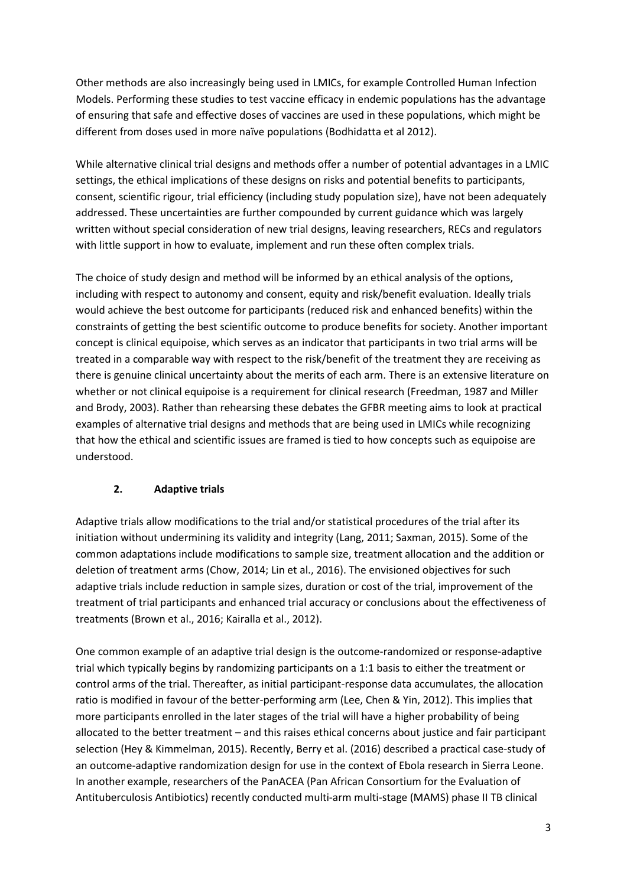Other methods are also increasingly being used in LMICs, for example Controlled Human Infection Models. Performing these studies to test vaccine efficacy in endemic populations has the advantage of ensuring that safe and effective doses of vaccines are used in these populations, which might be different from doses used in more naïve populations (Bodhidatta et al 2012).

While alternative clinical trial designs and methods offer a number of potential advantages in a LMIC settings, the ethical implications of these designs on risks and potential benefits to participants, consent, scientific rigour, trial efficiency (including study population size), have not been adequately addressed. These uncertainties are further compounded by current guidance which was largely written without special consideration of new trial designs, leaving researchers, RECs and regulators with little support in how to evaluate, implement and run these often complex trials.

The choice of study design and method will be informed by an ethical analysis of the options, including with respect to autonomy and consent, equity and risk/benefit evaluation. Ideally trials would achieve the best outcome for participants (reduced risk and enhanced benefits) within the constraints of getting the best scientific outcome to produce benefits for society. Another important concept is clinical equipoise, which serves as an indicator that participants in two trial arms will be treated in a comparable way with respect to the risk/benefit of the treatment they are receiving as there is genuine clinical uncertainty about the merits of each arm. There is an extensive literature on whether or not clinical equipoise is a requirement for clinical research (Freedman, 1987 and Miller and Brody, 2003). Rather than rehearsing these debates the GFBR meeting aims to look at practical examples of alternative trial designs and methods that are being used in LMICs while recognizing that how the ethical and scientific issues are framed is tied to how concepts such as equipoise are understood.

## **2. Adaptive trials**

Adaptive trials allow modifications to the trial and/or statistical procedures of the trial after its initiation without undermining its validity and integrity (Lang, 2011; Saxman, 2015). Some of the common adaptations include modifications to sample size, treatment allocation and the addition or deletion of treatment arms (Chow, 2014; Lin et al., 2016). The envisioned objectives for such adaptive trials include reduction in sample sizes, duration or cost of the trial, improvement of the treatment of trial participants and enhanced trial accuracy or conclusions about the effectiveness of treatments (Brown et al., 2016; Kairalla et al., 2012).

One common example of an adaptive trial design is the outcome-randomized or response-adaptive trial which typically begins by randomizing participants on a 1:1 basis to either the treatment or control arms of the trial. Thereafter, as initial participant-response data accumulates, the allocation ratio is modified in favour of the better-performing arm (Lee, Chen & Yin, 2012). This implies that more participants enrolled in the later stages of the trial will have a higher probability of being allocated to the better treatment – and this raises ethical concerns about justice and fair participant selection (Hey & Kimmelman, 2015). Recently, Berry et al. (2016) described a practical case-study of an outcome-adaptive randomization design for use in the context of Ebola research in Sierra Leone. In another example, researchers of the PanACEA (Pan African Consortium for the Evaluation of Antituberculosis Antibiotics) recently conducted multi-arm multi-stage (MAMS) phase II TB clinical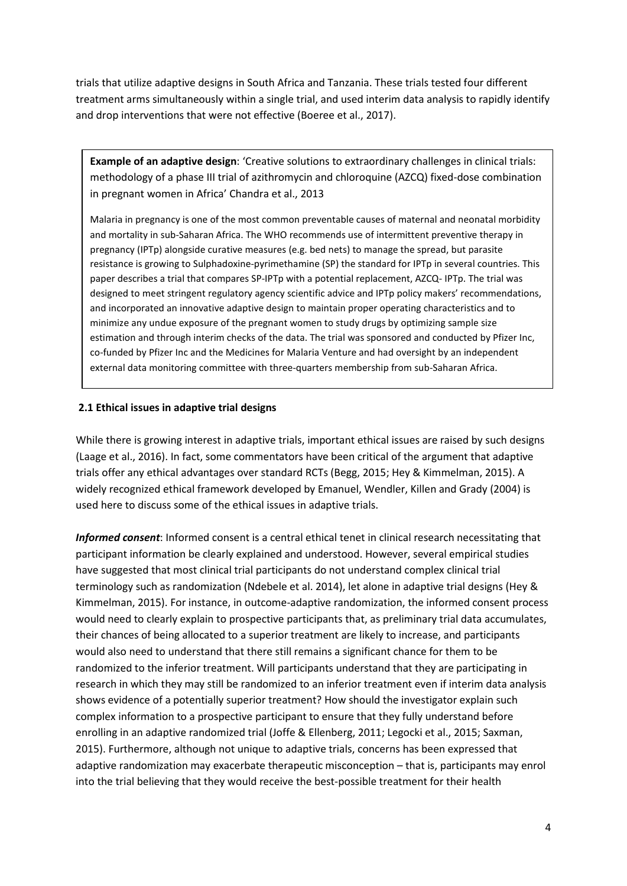trials that utilize adaptive designs in South Africa and Tanzania. These trials tested four different treatment arms simultaneously within a single trial, and used interim data analysis to rapidly identify and drop interventions that were not effective (Boeree et al., 2017).

**Example of an adaptive design**: 'Creative solutions to extraordinary challenges in clinical trials: methodology of a phase III trial of azithromycin and chloroquine (AZCQ) fixed-dose combination in pregnant women in Africa' Chandra et al., 2013

Malaria in pregnancy is one of the most common preventable causes of maternal and neonatal morbidity and mortality in sub-Saharan Africa. The WHO recommends use of intermittent preventive therapy in pregnancy (IPTp) alongside curative measures (e.g. bed nets) to manage the spread, but parasite resistance is growing to Sulphadoxine-pyrimethamine (SP) the standard for IPTp in several countries. This paper describes a trial that compares SP-IPTp with a potential replacement, AZCQ- IPTp. The trial was designed to meet stringent regulatory agency scientific advice and IPTp policy makers' recommendations, and incorporated an innovative adaptive design to maintain proper operating characteristics and to minimize any undue exposure of the pregnant women to study drugs by optimizing sample size estimation and through interim checks of the data. The trial was sponsored and conducted by Pfizer Inc, co-funded by Pfizer Inc and the Medicines for Malaria Venture and had oversight by an independent external data monitoring committee with three-quarters membership from sub-Saharan Africa.

#### **2.1 Ethical issues in adaptive trial designs**

While there is growing interest in adaptive trials, important ethical issues are raised by such designs (Laage et al., 2016). In fact, some commentators have been critical of the argument that adaptive trials offer any ethical advantages over standard RCTs (Begg, 2015; Hey & Kimmelman, 2015). A widely recognized ethical framework developed by Emanuel, Wendler, Killen and Grady (2004) is used here to discuss some of the ethical issues in adaptive trials.

*Informed consent*: Informed consent is a central ethical tenet in clinical research necessitating that participant information be clearly explained and understood. However, several empirical studies have suggested that most clinical trial participants do not understand complex clinical trial terminology such as randomization (Ndebele et al. 2014), let alone in adaptive trial designs (Hey & Kimmelman, 2015). For instance, in outcome-adaptive randomization, the informed consent process would need to clearly explain to prospective participants that, as preliminary trial data accumulates, their chances of being allocated to a superior treatment are likely to increase, and participants would also need to understand that there still remains a significant chance for them to be randomized to the inferior treatment. Will participants understand that they are participating in research in which they may still be randomized to an inferior treatment even if interim data analysis shows evidence of a potentially superior treatment? How should the investigator explain such complex information to a prospective participant to ensure that they fully understand before enrolling in an adaptive randomized trial (Joffe & Ellenberg, 2011; Legocki et al., 2015; Saxman, 2015). Furthermore, although not unique to adaptive trials, concerns has been expressed that adaptive randomization may exacerbate therapeutic misconception – that is, participants may enrol into the trial believing that they would receive the best-possible treatment for their health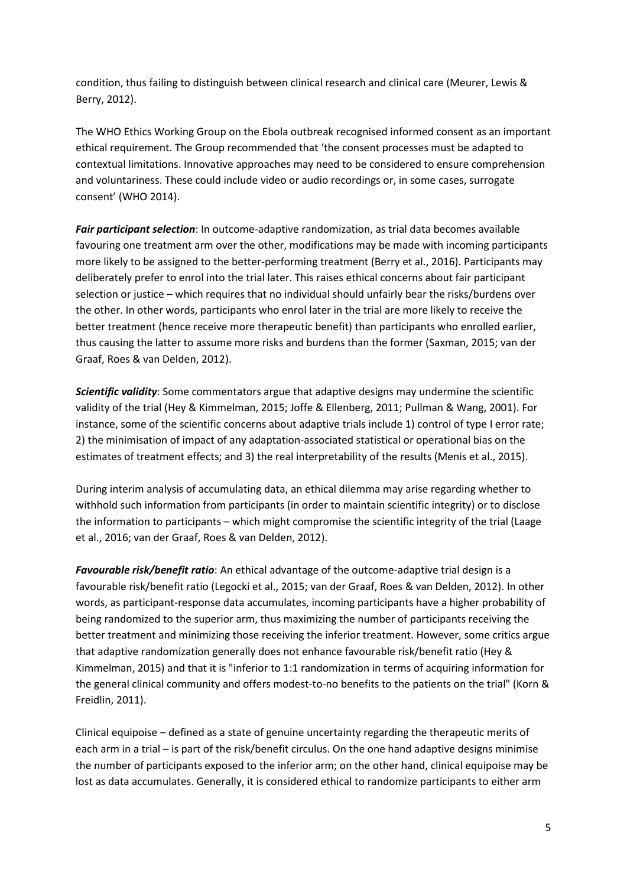condition, thus failing to distinguish between clinical research and clinical care (Meurer, Lewis & Berry, 2012).

The WHO Ethics Working Group on the Ebola outbreak recognised informed consent as an important ethical requirement. The Group recommended that 'the consent processes must be adapted to contextual limitations. Innovative approaches may need to be considered to ensure comprehension and voluntariness. These could include video or audio recordings or, in some cases, surrogate consent' (WHO 2014).

*Fair participant selection*: In outcome-adaptive randomization, as trial data becomes available favouring one treatment arm over the other, modifications may be made with incoming participants more likely to be assigned to the better-performing treatment (Berry et al., 2016). Participants may deliberately prefer to enrol into the trial later. This raises ethical concerns about fair participant selection or justice – which requires that no individual should unfairly bear the risks/burdens over the other. In other words, participants who enrol later in the trial are more likely to receive the better treatment (hence receive more therapeutic benefit) than participants who enrolled earlier, thus causing the latter to assume more risks and burdens than the former (Saxman, 2015; van der Graaf, Roes & van Delden, 2012).

*Scientific validity*: Some commentators argue that adaptive designs may undermine the scientific validity of the trial (Hey & Kimmelman, 2015; Joffe & Ellenberg, 2011; Pullman & Wang, 2001). For instance, some of the scientific concerns about adaptive trials include 1) control of type I error rate; 2) the minimisation of impact of any adaptation-associated statistical or operational bias on the estimates of treatment effects; and 3) the real interpretability of the results (Menis et al., 2015).

During interim analysis of accumulating data, an ethical dilemma may arise regarding whether to withhold such information from participants (in order to maintain scientific integrity) or to disclose the information to participants – which might compromise the scientific integrity of the trial (Laage et al., 2016; van der Graaf, Roes & van Delden, 2012).

*Favourable risk/benefit ratio*: An ethical advantage of the outcome-adaptive trial design is a favourable risk/benefit ratio (Legocki et al., 2015; van der Graaf, Roes & van Delden, 2012). In other words, as participant-response data accumulates, incoming participants have a higher probability of being randomized to the superior arm, thus maximizing the number of participants receiving the better treatment and minimizing those receiving the inferior treatment. However, some critics argue that adaptive randomization generally does not enhance favourable risk/benefit ratio (Hey & Kimmelman, 2015) and that it is "inferior to 1:1 randomization in terms of acquiring information for the general clinical community and offers modest-to-no benefits to the patients on the trial" (Korn & Freidlin, 2011).

Clinical equipoise – defined as a state of genuine uncertainty regarding the therapeutic merits of each arm in a trial – is part of the risk/benefit circulus. On the one hand adaptive designs minimise the number of participants exposed to the inferior arm; on the other hand, clinical equipoise may be lost as data accumulates. Generally, it is considered ethical to randomize participants to either arm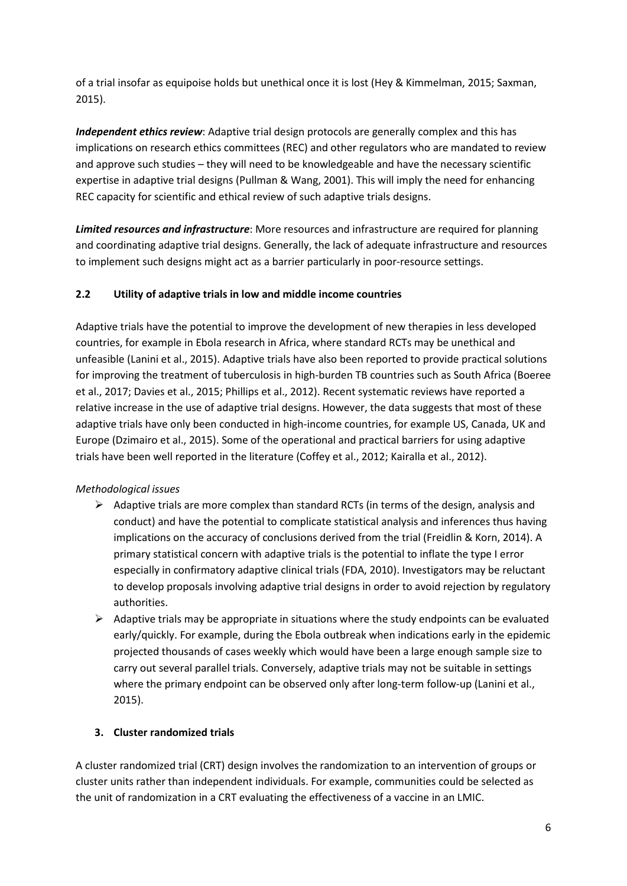of a trial insofar as equipoise holds but unethical once it is lost (Hey & Kimmelman, 2015; Saxman, 2015).

*Independent ethics review*: Adaptive trial design protocols are generally complex and this has implications on research ethics committees (REC) and other regulators who are mandated to review and approve such studies – they will need to be knowledgeable and have the necessary scientific expertise in adaptive trial designs (Pullman & Wang, 2001). This will imply the need for enhancing REC capacity for scientific and ethical review of such adaptive trials designs.

*Limited resources and infrastructure*: More resources and infrastructure are required for planning and coordinating adaptive trial designs. Generally, the lack of adequate infrastructure and resources to implement such designs might act as a barrier particularly in poor-resource settings.

## **2.2 Utility of adaptive trials in low and middle income countries**

Adaptive trials have the potential to improve the development of new therapies in less developed countries, for example in Ebola research in Africa, where standard RCTs may be unethical and unfeasible (Lanini et al., 2015). Adaptive trials have also been reported to provide practical solutions for improving the treatment of tuberculosis in high-burden TB countries such as South Africa (Boeree et al., 2017; Davies et al., 2015; Phillips et al., 2012). Recent systematic reviews have reported a relative increase in the use of adaptive trial designs. However, the data suggests that most of these adaptive trials have only been conducted in high-income countries, for example US, Canada, UK and Europe (Dzimairo et al., 2015). Some of the operational and practical barriers for using adaptive trials have been well reported in the literature (Coffey et al., 2012; Kairalla et al., 2012).

## *Methodological issues*

- $\triangleright$  Adaptive trials are more complex than standard RCTs (in terms of the design, analysis and conduct) and have the potential to complicate statistical analysis and inferences thus having implications on the accuracy of conclusions derived from the trial (Freidlin & Korn, 2014). A primary statistical concern with adaptive trials is the potential to inflate the type I error especially in confirmatory adaptive clinical trials (FDA, 2010). Investigators may be reluctant to develop proposals involving adaptive trial designs in order to avoid rejection by regulatory authorities.
- $\triangleright$  Adaptive trials may be appropriate in situations where the study endpoints can be evaluated early/quickly. For example, during the Ebola outbreak when indications early in the epidemic projected thousands of cases weekly which would have been a large enough sample size to carry out several parallel trials. Conversely, adaptive trials may not be suitable in settings where the primary endpoint can be observed only after long-term follow-up (Lanini et al., 2015).

# **3. Cluster randomized trials**

A cluster randomized trial (CRT) design involves the randomization to an intervention of groups or cluster units rather than independent individuals. For example, communities could be selected as the unit of randomization in a CRT evaluating the effectiveness of a vaccine in an LMIC.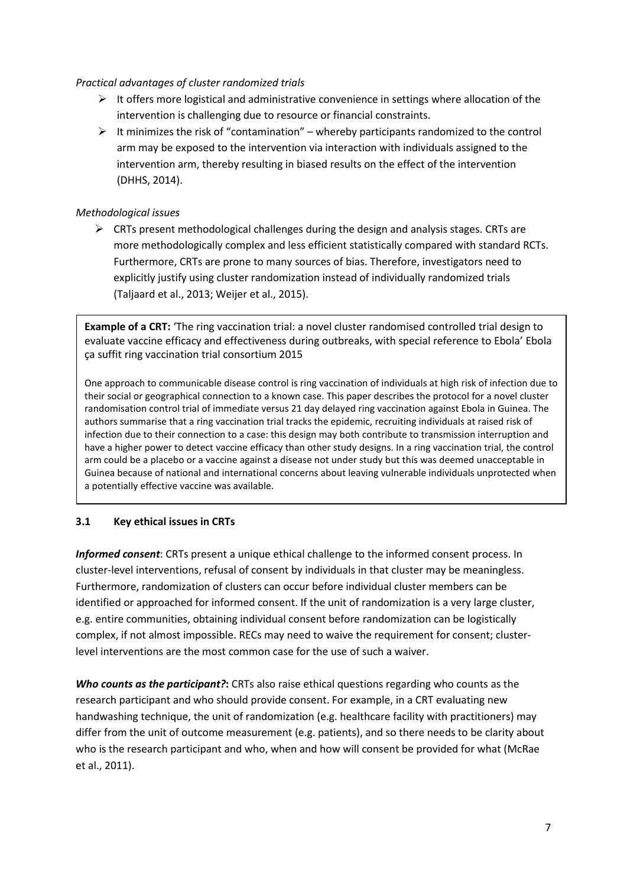#### *Practical advantages of cluster randomized trials*

- $\triangleright$  It offers more logistical and administrative convenience in settings where allocation of the intervention is challenging due to resource or financial constraints.
- $\triangleright$  It minimizes the risk of "contamination" whereby participants randomized to the control arm may be exposed to the intervention via interaction with individuals assigned to the intervention arm, thereby resulting in biased results on the effect of the intervention (DHHS, 2014).

### *Methodological issues*

 $\triangleright$  CRTs present methodological challenges during the design and analysis stages. CRTs are more methodologically complex and less efficient statistically compared with standard RCTs. Furthermore, CRTs are prone to many sources of bias. Therefore, investigators need to explicitly justify using cluster randomization instead of individually randomized trials (Taljaard et al., 2013; Weijer et al., 2015).

**Example of a CRT:** 'The ring vaccination trial: a novel cluster randomised controlled trial design to evaluate vaccine efficacy and effectiveness during outbreaks, with special reference to Ebola' Ebola ça suffit ring vaccination trial consortium 2015

One approach to communicable disease control is ring vaccination of individuals at high risk of infection due to their social or geographical connection to a known case. This paper describes the protocol for a novel cluster randomisation control trial of immediate versus 21 day delayed ring vaccination against Ebola in Guinea. The authors summarise that a ring vaccination trial tracks the epidemic, recruiting individuals at raised risk of infection due to their connection to a case: this design may both contribute to transmission interruption and have a higher power to detect vaccine efficacy than other study designs. In a ring vaccination trial, the control arm could be a placebo or a vaccine against a disease not under study but this was deemed unacceptable in Guinea because of national and international concerns about leaving vulnerable individuals unprotected when a potentially effective vaccine was available.

## **3.1 Key ethical issues in CRTs**

*Informed consent*: CRTs present a unique ethical challenge to the informed consent process. In cluster-level interventions, refusal of consent by individuals in that cluster may be meaningless. Furthermore, randomization of clusters can occur before individual cluster members can be identified or approached for informed consent. If the unit of randomization is a very large cluster, e.g. entire communities, obtaining individual consent before randomization can be logistically complex, if not almost impossible. RECs may need to waive the requirement for consent; clusterlevel interventions are the most common case for the use of such a waiver.

*Who counts as the participant?***:** CRTs also raise ethical questions regarding who counts as the research participant and who should provide consent. For example, in a CRT evaluating new handwashing technique, the unit of randomization (e.g. healthcare facility with practitioners) may differ from the unit of outcome measurement (e.g. patients), and so there needs to be clarity about who is the research participant and who, when and how will consent be provided for what (McRae et al., 2011).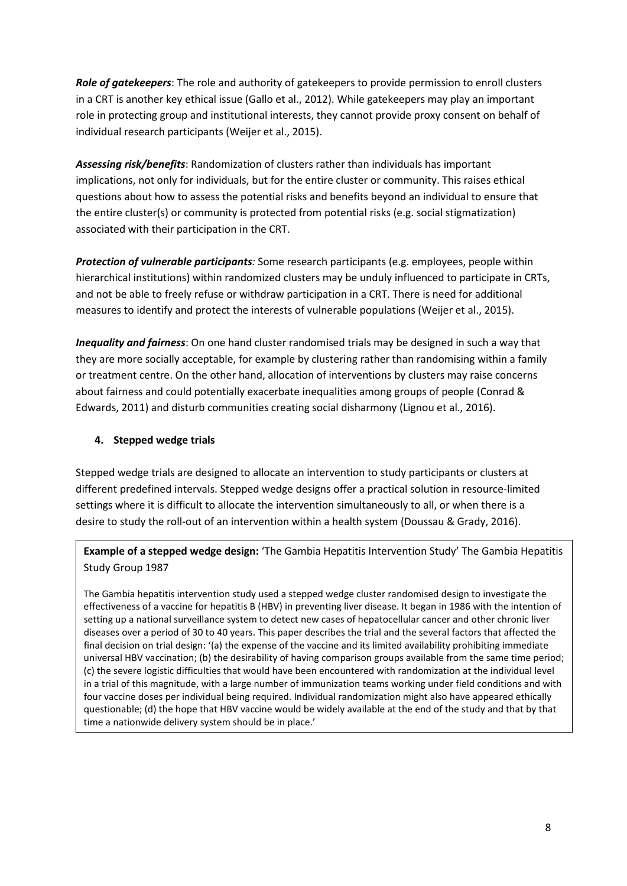*Role of gatekeepers*: The role and authority of gatekeepers to provide permission to enroll clusters in a CRT is another key ethical issue (Gallo et al., 2012). While gatekeepers may play an important role in protecting group and institutional interests, they cannot provide proxy consent on behalf of individual research participants (Weijer et al., 2015).

*Assessing risk/benefits*: Randomization of clusters rather than individuals has important implications, not only for individuals, but for the entire cluster or community. This raises ethical questions about how to assess the potential risks and benefits beyond an individual to ensure that the entire cluster(s) or community is protected from potential risks (e.g. social stigmatization) associated with their participation in the CRT.

*Protection of vulnerable participants:* Some research participants (e.g. employees, people within hierarchical institutions) within randomized clusters may be unduly influenced to participate in CRTs, and not be able to freely refuse or withdraw participation in a CRT. There is need for additional measures to identify and protect the interests of vulnerable populations (Weijer et al., 2015).

*Inequality and fairness*: On one hand cluster randomised trials may be designed in such a way that they are more socially acceptable, for example by clustering rather than randomising within a family or treatment centre. On the other hand, allocation of interventions by clusters may raise concerns about fairness and could potentially exacerbate inequalities among groups of people (Conrad & Edwards, 2011) and disturb communities creating social disharmony (Lignou et al., 2016).

### **4. Stepped wedge trials**

Stepped wedge trials are designed to allocate an intervention to study participants or clusters at different predefined intervals. Stepped wedge designs offer a practical solution in resource-limited settings where it is difficult to allocate the intervention simultaneously to all, or when there is a desire to study the roll-out of an intervention within a health system (Doussau & Grady, 2016).

**Example of a stepped wedge design:** 'The Gambia Hepatitis Intervention Study' The Gambia Hepatitis Study Group 1987

The Gambia hepatitis intervention study used a stepped wedge cluster randomised design to investigate the effectiveness of a vaccine for hepatitis B (HBV) in preventing liver disease. It began in 1986 with the intention of setting up a national surveillance system to detect new cases of hepatocellular cancer and other chronic liver diseases over a period of 30 to 40 years. This paper describes the trial and the several factors that affected the final decision on trial design: '(a) the expense of the vaccine and its limited availability prohibiting immediate universal HBV vaccination; (b) the desirability of having comparison groups available from the same time period; (c) the severe logistic difficulties that would have been encountered with randomization at the individual level in a trial of this magnitude, with a large number of immunization teams working under field conditions and with four vaccine doses per individual being required. Individual randomization might also have appeared ethically questionable; (d) the hope that HBV vaccine would be widely available at the end of the study and that by that time a nationwide delivery system should be in place.'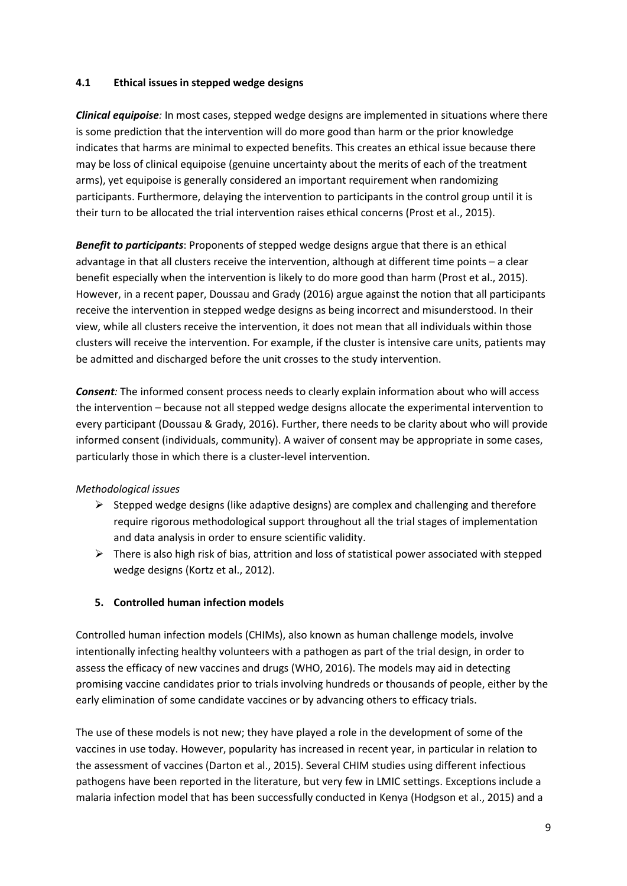#### **4.1 Ethical issues in stepped wedge designs**

*Clinical equipoise:* In most cases, stepped wedge designs are implemented in situations where there is some prediction that the intervention will do more good than harm or the prior knowledge indicates that harms are minimal to expected benefits. This creates an ethical issue because there may be loss of clinical equipoise (genuine uncertainty about the merits of each of the treatment arms), yet equipoise is generally considered an important requirement when randomizing participants. Furthermore, delaying the intervention to participants in the control group until it is their turn to be allocated the trial intervention raises ethical concerns (Prost et al., 2015).

*Benefit to participants*: Proponents of stepped wedge designs argue that there is an ethical advantage in that all clusters receive the intervention, although at different time points – a clear benefit especially when the intervention is likely to do more good than harm (Prost et al., 2015). However, in a recent paper, Doussau and Grady (2016) argue against the notion that all participants receive the intervention in stepped wedge designs as being incorrect and misunderstood. In their view, while all clusters receive the intervention, it does not mean that all individuals within those clusters will receive the intervention. For example, if the cluster is intensive care units, patients may be admitted and discharged before the unit crosses to the study intervention.

*Consent:* The informed consent process needs to clearly explain information about who will access the intervention – because not all stepped wedge designs allocate the experimental intervention to every participant (Doussau & Grady, 2016). Further, there needs to be clarity about who will provide informed consent (individuals, community). A waiver of consent may be appropriate in some cases, particularly those in which there is a cluster-level intervention.

### *Methodological issues*

- $\triangleright$  Stepped wedge designs (like adaptive designs) are complex and challenging and therefore require rigorous methodological support throughout all the trial stages of implementation and data analysis in order to ensure scientific validity.
- $\triangleright$  There is also high risk of bias, attrition and loss of statistical power associated with stepped wedge designs (Kortz et al., 2012).

### **5. Controlled human infection models**

Controlled human infection models (CHIMs), also known as human challenge models, involve intentionally infecting healthy volunteers with a pathogen as part of the trial design, in order to assess the efficacy of new vaccines and drugs (WHO, 2016). The models may aid in detecting promising vaccine candidates prior to trials involving hundreds or thousands of people, either by the early elimination of some candidate vaccines or by advancing others to efficacy trials.

The use of these models is not new; they have played a role in the development of some of the vaccines in use today. However, popularity has increased in recent year, in particular in relation to the assessment of vaccines (Darton et al., 2015). Several CHIM studies using different infectious pathogens have been reported in the literature, but very few in LMIC settings. Exceptions include a malaria infection model that has been successfully conducted in Kenya (Hodgson et al., 2015) and a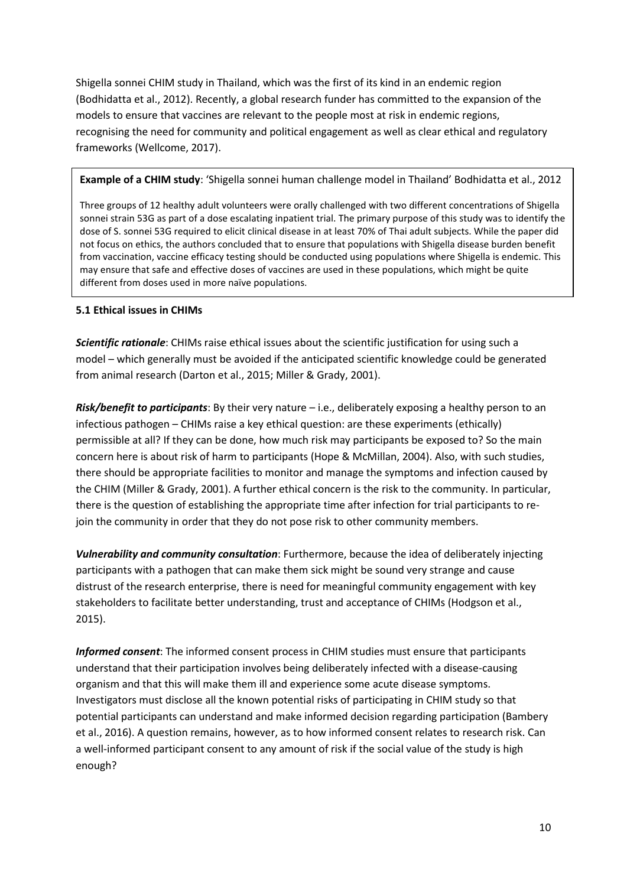Shigella sonnei CHIM study in Thailand, which was the first of its kind in an endemic region (Bodhidatta et al., 2012). Recently, a global research funder has committed to the expansion of the models to ensure that vaccines are relevant to the people most at risk in endemic regions, recognising the need for community and political engagement as well as clear ethical and regulatory frameworks (Wellcome, 2017).

**Example of a CHIM study**: 'Shigella sonnei human challenge model in Thailand' Bodhidatta et al., 2012

Three groups of 12 healthy adult volunteers were orally challenged with two different concentrations of Shigella sonnei strain 53G as part of a dose escalating inpatient trial. The primary purpose of this study was to identify the dose of S. sonnei 53G required to elicit clinical disease in at least 70% of Thai adult subjects. While the paper did not focus on ethics, the authors concluded that to ensure that populations with Shigella disease burden benefit from vaccination, vaccine efficacy testing should be conducted using populations where Shigella is endemic. This may ensure that safe and effective doses of vaccines are used in these populations, which might be quite different from doses used in more naïve populations.

#### **5.1 Ethical issues in CHIMs**

*Scientific rationale*: CHIMs raise ethical issues about the scientific justification for using such a model – which generally must be avoided if the anticipated scientific knowledge could be generated from animal research (Darton et al., 2015; Miller & Grady, 2001).

*Risk/benefit to participants*: By their very nature – i.e., deliberately exposing a healthy person to an infectious pathogen – CHIMs raise a key ethical question: are these experiments (ethically) permissible at all? If they can be done, how much risk may participants be exposed to? So the main concern here is about risk of harm to participants (Hope & McMillan, 2004). Also, with such studies, there should be appropriate facilities to monitor and manage the symptoms and infection caused by the CHIM (Miller & Grady, 2001). A further ethical concern is the risk to the community. In particular, there is the question of establishing the appropriate time after infection for trial participants to rejoin the community in order that they do not pose risk to other community members.

*Vulnerability and community consultation*: Furthermore, because the idea of deliberately injecting participants with a pathogen that can make them sick might be sound very strange and cause distrust of the research enterprise, there is need for meaningful community engagement with key stakeholders to facilitate better understanding, trust and acceptance of CHIMs (Hodgson et al., 2015).

*Informed consent*: The informed consent process in CHIM studies must ensure that participants understand that their participation involves being deliberately infected with a disease-causing organism and that this will make them ill and experience some acute disease symptoms. Investigators must disclose all the known potential risks of participating in CHIM study so that potential participants can understand and make informed decision regarding participation (Bambery et al., 2016). A question remains, however, as to how informed consent relates to research risk. Can a well-informed participant consent to any amount of risk if the social value of the study is high enough?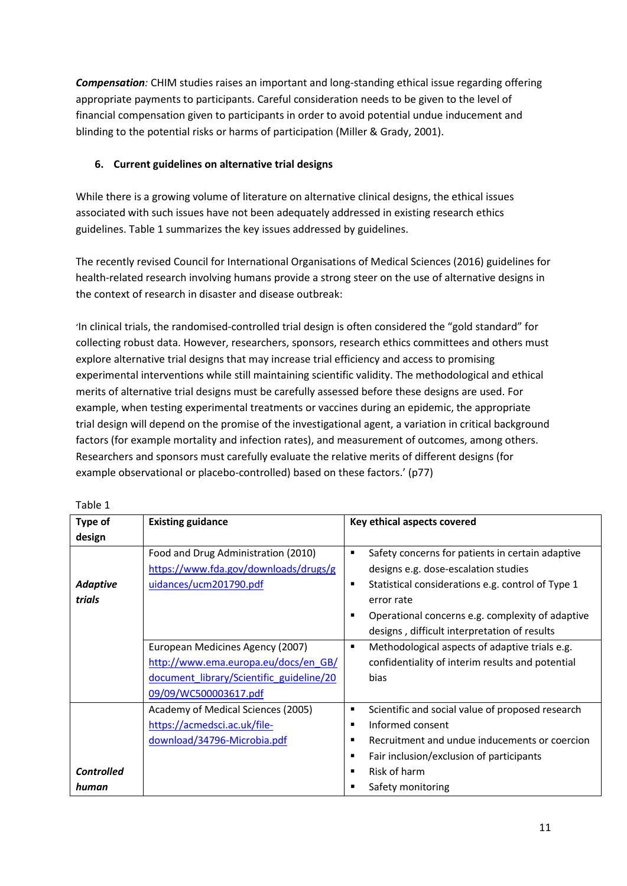*Compensation:* CHIM studies raises an important and long-standing ethical issue regarding offering appropriate payments to participants. Careful consideration needs to be given to the level of financial compensation given to participants in order to avoid potential undue inducement and blinding to the potential risks or harms of participation (Miller & Grady, 2001).

## **6. Current guidelines on alternative trial designs**

While there is a growing volume of literature on alternative clinical designs, the ethical issues associated with such issues have not been adequately addressed in existing research ethics guidelines. Table 1 summarizes the key issues addressed by guidelines.

The recently revised Council for International Organisations of Medical Sciences (2016) guidelines for health-related research involving humans provide a strong steer on the use of alternative designs in the context of research in disaster and disease outbreak:

'In clinical trials, the randomised-controlled trial design is often considered the "gold standard" for collecting robust data. However, researchers, sponsors, research ethics committees and others must explore alternative trial designs that may increase trial efficiency and access to promising experimental interventions while still maintaining scientific validity. The methodological and ethical merits of alternative trial designs must be carefully assessed before these designs are used. For example, when testing experimental treatments or vaccines during an epidemic, the appropriate trial design will depend on the promise of the investigational agent, a variation in critical background factors (for example mortality and infection rates), and measurement of outcomes, among others. Researchers and sponsors must carefully evaluate the relative merits of different designs (for example observational or placebo-controlled) based on these factors.' (p77)

| Type of           | <b>Existing guidance</b>                 | Key ethical aspects covered                                         |
|-------------------|------------------------------------------|---------------------------------------------------------------------|
| design            |                                          |                                                                     |
|                   | Food and Drug Administration (2010)      | Safety concerns for patients in certain adaptive<br>П               |
|                   | https://www.fda.gov/downloads/drugs/g    | designs e.g. dose-escalation studies                                |
| <b>Adaptive</b>   | uidances/ucm201790.pdf                   | Statistical considerations e.g. control of Type 1<br>$\blacksquare$ |
| trials            |                                          | error rate                                                          |
|                   |                                          | Operational concerns e.g. complexity of adaptive<br>п               |
|                   |                                          | designs, difficult interpretation of results                        |
|                   | European Medicines Agency (2007)         | Methodological aspects of adaptive trials e.g.<br>٠                 |
|                   | http://www.ema.europa.eu/docs/en_GB/     | confidentiality of interim results and potential                    |
|                   | document library/Scientific guideline/20 | bias                                                                |
|                   | 09/09/WC500003617.pdf                    |                                                                     |
|                   | Academy of Medical Sciences (2005)       | Scientific and social value of proposed research<br>٠               |
|                   | https://acmedsci.ac.uk/file-             | Informed consent<br>$\blacksquare$                                  |
|                   | download/34796-Microbia.pdf              | Recruitment and undue inducements or coercion<br>п                  |
|                   |                                          | Fair inclusion/exclusion of participants<br>п                       |
| <b>Controlled</b> |                                          | Risk of harm<br>п                                                   |
| human             |                                          | Safety monitoring                                                   |

Table 1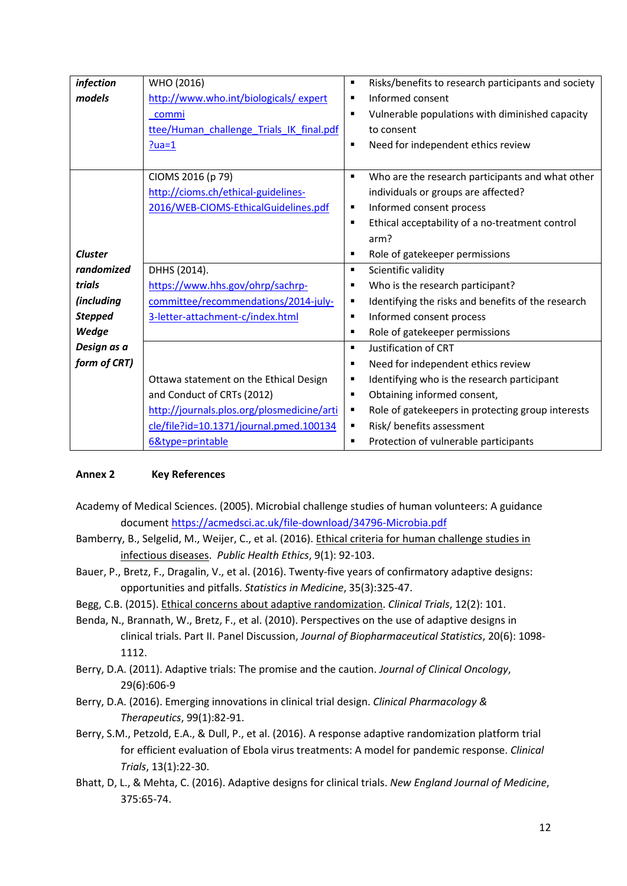| infection         | WHO (2016)                                 | Risks/benefits to research participants and society<br>٠           |
|-------------------|--------------------------------------------|--------------------------------------------------------------------|
| models            | http://www.who.int/biologicals/expert      | Informed consent<br>٠                                              |
|                   | commi                                      | Vulnerable populations with diminished capacity                    |
|                   | ttee/Human challenge Trials IK final.pdf   | to consent                                                         |
|                   | $?ua=1$                                    | Need for independent ethics review<br>٠                            |
|                   |                                            |                                                                    |
|                   | CIOMS 2016 (p 79)                          | Who are the research participants and what other<br>$\blacksquare$ |
|                   | http://cioms.ch/ethical-guidelines-        | individuals or groups are affected?                                |
|                   | 2016/WEB-CIOMS-EthicalGuidelines.pdf       | Informed consent process<br>٠                                      |
|                   |                                            | Ethical acceptability of a no-treatment control<br>٠               |
|                   |                                            | arm?                                                               |
| <b>Cluster</b>    |                                            | Role of gatekeeper permissions<br>٠                                |
| randomized        | DHHS (2014).                               | Scientific validity<br>$\blacksquare$                              |
| trials            | https://www.hhs.gov/ohrp/sachrp-           | Who is the research participant?                                   |
| <i>(including</i> | committee/recommendations/2014-july-       | Identifying the risks and benefits of the research<br>п            |
| <b>Stepped</b>    | 3-letter-attachment-c/index.html           | Informed consent process<br>п                                      |
| Wedge             |                                            | Role of gatekeeper permissions<br>٠                                |
| Design as a       |                                            | Justification of CRT<br>$\blacksquare$                             |
| form of CRT)      |                                            | Need for independent ethics review                                 |
|                   | Ottawa statement on the Ethical Design     | Identifying who is the research participant                        |
|                   | and Conduct of CRTs (2012)                 | Obtaining informed consent,<br>٠                                   |
|                   | http://journals.plos.org/plosmedicine/arti | Role of gatekeepers in protecting group interests<br>п             |
|                   | cle/file?id=10.1371/journal.pmed.100134    | Risk/ benefits assessment<br>п                                     |
|                   | 6&type=printable                           | Protection of vulnerable participants<br>٠                         |

### **Annex 2 Key References**

- Academy of Medical Sciences. (2005). Microbial challenge studies of human volunteers: A guidance document<https://acmedsci.ac.uk/file-download/34796-Microbia.pdf>
- Bamberry, B., Selgelid, M., Weijer, C., et al. (2016). Ethical criteria for human challenge studies in infectious diseases. *Public Health Ethics*, 9(1): 92-103.
- Bauer, P., Bretz, F., Dragalin, V., et al. (2016). Twenty-five years of confirmatory adaptive designs: opportunities and pitfalls. *Statistics in Medicine*, 35(3):325-47.
- Begg, C.B. (2015). Ethical concerns about adaptive randomization. *Clinical Trials*, 12(2): 101.
- Benda, N., Brannath, W., Bretz, F., et al. (2010). Perspectives on the use of adaptive designs in clinical trials. Part II. Panel Discussion, *Journal of Biopharmaceutical Statistics*, 20(6): 1098- 1112.
- Berry, D.A. (2011). Adaptive trials: The promise and the caution. *Journal of Clinical Oncology*, 29(6):606-9
- Berry, D.A. (2016). Emerging innovations in clinical trial design. *Clinical Pharmacology & Therapeutics*, 99(1):82-91.
- Berry, S.M., Petzold, E.A., & Dull, P., et al. (2016). A response adaptive randomization platform trial for efficient evaluation of Ebola virus treatments: A model for pandemic response. *Clinical Trials*, 13(1):22-30.
- Bhatt, D, L., & Mehta, C. (2016). Adaptive designs for clinical trials. *New England Journal of Medicine*, 375:65-74.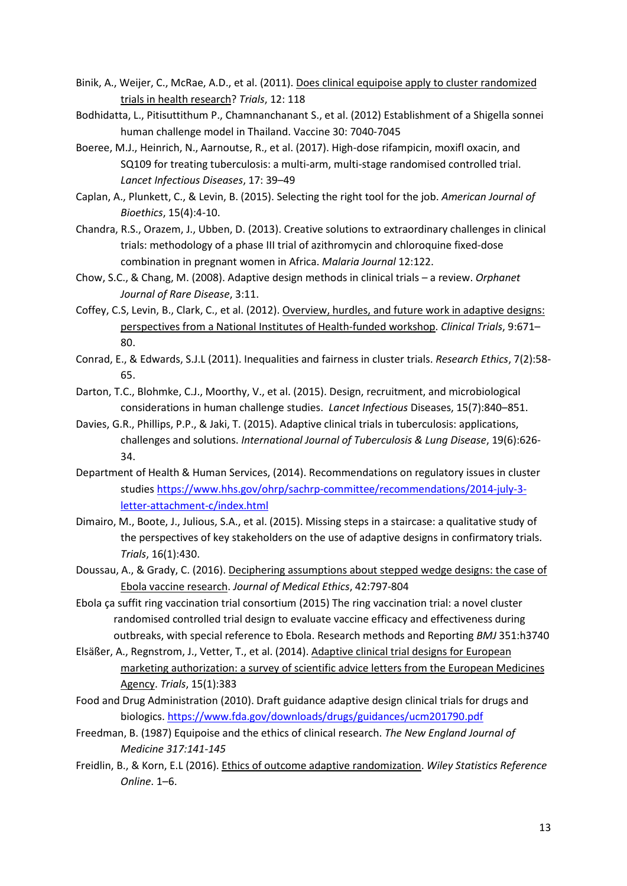- Binik, A., Weijer, C., McRae, A.D., et al. (2011). Does clinical equipoise apply to cluster randomized trials in health research? *Trials*, 12: 118
- Bodhidatta, L., Pitisuttithum P., Chamnanchanant S., et al. (2012) Establishment of a Shigella sonnei human challenge model in Thailand. Vaccine 30: 7040-7045
- Boeree, M.J., Heinrich, N., Aarnoutse, R., et al. (2017). High-dose rifampicin, moxifl oxacin, and SQ109 for treating tuberculosis: a multi-arm, multi-stage randomised controlled trial. *Lancet Infectious Diseases*, 17: 39–49
- Caplan, A., Plunkett, C., & Levin, B. (2015). Selecting the right tool for the job. *American Journal of Bioethics*, 15(4):4-10.
- Chandra, R.S., Orazem, J., Ubben, D. (2013). Creative solutions to extraordinary challenges in clinical trials: methodology of a phase III trial of azithromycin and chloroquine fixed-dose combination in pregnant women in Africa. *Malaria Journal* 12:122.
- Chow, S.C., & Chang, M. (2008). Adaptive design methods in clinical trials a review. *Orphanet Journal of Rare Disease*, 3:11.
- Coffey, C.S, Levin, B., Clark, C., et al. (2012). Overview, hurdles, and future work in adaptive designs: perspectives from a National Institutes of Health-funded workshop. *Clinical Trials*, 9:671– 80.
- Conrad, E., & Edwards, S.J.L (2011). Inequalities and fairness in cluster trials. *Research Ethics*, 7(2):58- 65.
- Darton, T.C., Blohmke, C.J., Moorthy, V., et al. (2015). Design, recruitment, and microbiological considerations in human challenge studies. *Lancet Infectious* Diseases, 15(7):840–851.
- Davies, G.R., Phillips, P.P., & Jaki, T. (2015). Adaptive clinical trials in tuberculosis: applications, challenges and solutions. *International Journal of Tuberculosis & Lung Disease*, 19(6):626- 34.
- Department of Health & Human Services, (2014). Recommendations on regulatory issues in cluster studies [https://www.hhs.gov/ohrp/sachrp-committee/recommendations/2014-july-3](https://www.hhs.gov/ohrp/sachrp-committee/recommendations/2014-july-3-letter-attachment-c/index.html) [letter-attachment-c/index.html](https://www.hhs.gov/ohrp/sachrp-committee/recommendations/2014-july-3-letter-attachment-c/index.html)
- Dimairo, M., Boote, J., Julious, S.A., et al. (2015). Missing steps in a staircase: a qualitative study of the perspectives of key stakeholders on the use of adaptive designs in confirmatory trials. *Trials*, 16(1):430.
- Doussau, A., & Grady, C. (2016). Deciphering assumptions about stepped wedge designs: the case of Ebola vaccine research. *Journal of Medical Ethics*, 42:797-804
- Ebola ça suffit ring vaccination trial consortium (2015) The ring vaccination trial: a novel cluster randomised controlled trial design to evaluate vaccine efficacy and effectiveness during outbreaks, with special reference to Ebola. Research methods and Reporting *BMJ* 351:h3740
- Elsäßer, A., Regnstrom, J., Vetter, T., et al. (2014). Adaptive clinical trial designs for European marketing authorization: a survey of scientific advice letters from the European Medicines Agency. *Trials*, 15(1):383
- Food and Drug Administration (2010). Draft guidance adaptive design clinical trials for drugs and biologics.<https://www.fda.gov/downloads/drugs/guidances/ucm201790.pdf>
- Freedman, B. (1987) Equipoise and the ethics of clinical research. *The New England Journal of Medicine 317:141-145*
- Freidlin, B., & Korn, E.L (2016). Ethics of outcome adaptive randomization. *Wiley Statistics Reference Online*. 1–6.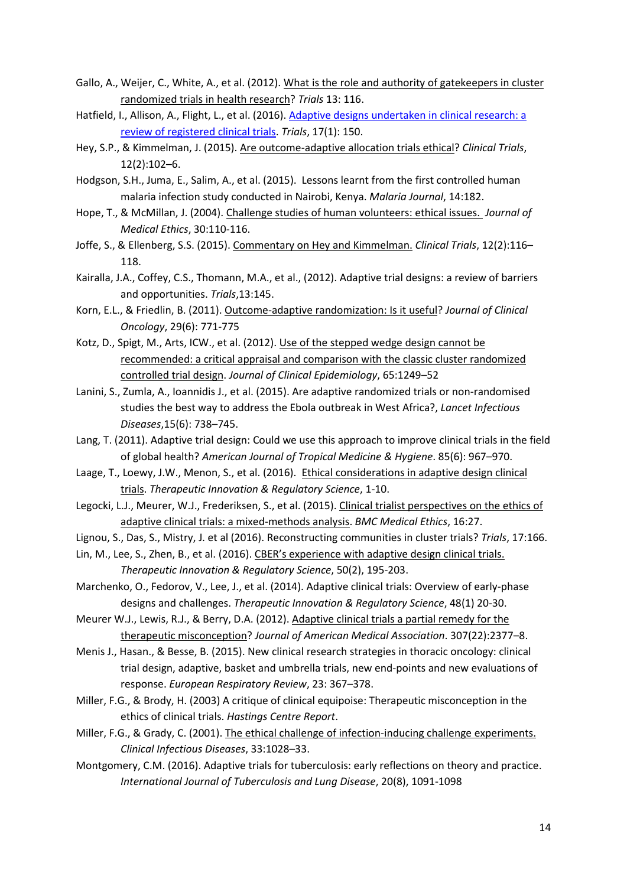- Gallo, A., Weijer, C., White, A., et al. (2012). What is the role and authority of gatekeepers in cluster randomized trials in health research? *Trials* 13: 116.
- Hatfield, I., Allison, A., Flight, L., et al. (2016)[. Adaptive designs undertaken in clinical research: a](http://dx.doi.org/10.1186/s13063-016-1273-9)  [review of registered](http://dx.doi.org/10.1186/s13063-016-1273-9) clinical trials. *Trials*, 17(1): 150.
- Hey, S.P., & Kimmelman, J. (2015). Are outcome-adaptive allocation trials ethical? *Clinical Trials*, 12(2):102–6.
- Hodgson, S.H., Juma, E., Salim, A., et al. (2015). Lessons learnt from the first controlled human malaria infection study conducted in Nairobi, Kenya. *Malaria Journal*, 14:182.
- Hope, T., & McMillan, J. (2004). Challenge studies of human volunteers: ethical issues. *Journal of Medical Ethics*, 30:110-116.
- Joffe, S., & Ellenberg, S.S. (2015). Commentary on Hey and Kimmelman. *Clinical Trials*, 12(2):116– 118.
- Kairalla, J.A., Coffey, C.S., Thomann, M.A., et al., (2012). Adaptive trial designs: a review of barriers and opportunities. *Trials*,13:145.
- Korn, E.L., & Friedlin, B. (2011). Outcome-adaptive randomization: Is it useful? *Journal of Clinical Oncology*, 29(6): 771-775
- Kotz, D., Spigt, M., Arts, ICW., et al. (2012). Use of the stepped wedge design cannot be recommended: a critical appraisal and comparison with the classic cluster randomized controlled trial design. *Journal of Clinical Epidemiology*, 65:1249–52
- Lanini, S., Zumla, A., Ioannidis J., et al. (2015). Are adaptive randomized trials or non-randomised studies the best way to address the Ebola outbreak in West Africa?, *Lancet Infectious Diseases*,15(6): 738–745.
- Lang, T. (2011). Adaptive trial design: Could we use this approach to improve clinical trials in the field of global health? *American Journal of Tropical Medicine & Hygiene*. 85(6): 967–970.
- Laage, T., Loewy, J.W., Menon, S., et al. (2016). [Ethical considerations in adaptive design clinical](https://www.fda.gov/downloads/drugs/guidances/ucm201790.pdf)  [trials.](https://www.fda.gov/downloads/drugs/guidances/ucm201790.pdf) *Therapeutic Innovation & Regulatory Science*, 1-10.
- Legocki, L.J., Meurer, W.J., Frederiksen, S., et al. (2015). Clinical trialist perspectives on the ethics of adaptive clinical trials: a mixed-methods analysis. *BMC Medical Ethics*, 16:27.
- Lignou, S., Das, S., Mistry, J. et al (2016). Reconstructing communities in cluster trials? *Trials*, 17:166.
- Lin, M., Lee, S., Zhen, B., et al. (2016). CBER's experience with adaptive design clinical trials. *Therapeutic Innovation & Regulatory Science*, 50(2), 195-203.
- Marchenko, O., Fedorov, V., Lee, J., et al. (2014). Adaptive clinical trials: Overview of early-phase designs and challenges. *Therapeutic Innovation & Regulatory Science*, 48(1) 20-30.
- Meurer W.J., Lewis, R.J., & Berry, D.A. (2012). Adaptive clinical trials a partial remedy for the therapeutic misconception? *Journal of American Medical Association*. 307(22):2377–8.
- Menis J., Hasan., & Besse, B. (2015). New clinical research strategies in thoracic oncology: clinical trial design, adaptive, basket and umbrella trials, new end-points and new evaluations of response. *European Respiratory Review*, 23: 367–378.
- Miller, F.G., & Brody, H. (2003) A critique of clinical equipoise: Therapeutic misconception in the ethics of clinical trials. *Hastings Centre Report*.
- Miller, F.G., & Grady, C. (2001). The ethical challenge of infection-inducing challenge experiments. *Clinical Infectious Diseases*, 33:1028–33.
- Montgomery, C.M. (2016). Adaptive trials for tuberculosis: early reflections on theory and practice. *International Journal of Tuberculosis and Lung Disease*, 20(8), 1091-1098